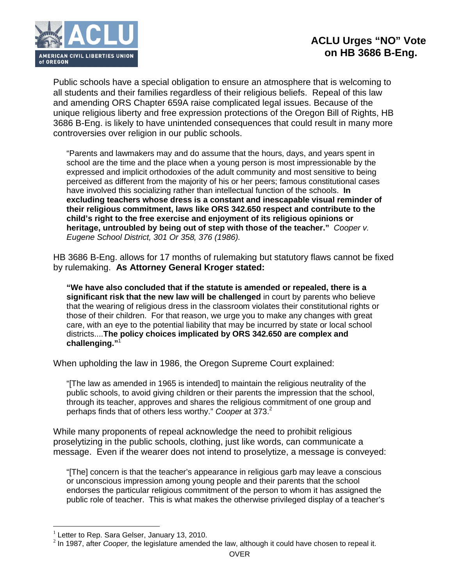

Public schools have a special obligation to ensure an atmosphere that is welcoming to all students and their families regardless of their religious beliefs. Repeal of this law and amending ORS Chapter 659A raise complicated legal issues. Because of the unique religious liberty and free expression protections of the Oregon Bill of Rights, HB 3686 B-Eng. is likely to have unintended consequences that could result in many more controversies over religion in our public schools.

"Parents and lawmakers may and do assume that the hours, days, and years spent in school are the time and the place when a young person is most impressionable by the expressed and implicit orthodoxies of the adult community and most sensitive to being perceived as different from the majority of his or her peers; famous constitutional cases have involved this socializing rather than intellectual function of the schools. **In excluding teachers whose dress is a constant and inescapable visual reminder of their religious commitment, laws like ORS 342.650 respect and contribute to the child's right to the free exercise and enjoyment of its religious opinions or heritage, untroubled by being out of step with those of the teacher."** *Cooper v. Eugene School District, 301 Or 358, 376 (1986).*

HB 3686 B-Eng. allows for 17 months of rulemaking but statutory flaws cannot be fixed by rulemaking. **As Attorney General Kroger stated:**

**"We have also concluded that if the statute is amended or repealed, there is a significant risk that the new law will be challenged** in court by parents who believe that the wearing of religious dress in the classroom violates their constitutional rights or those of their children. For that reason, we urge you to make any changes with great care, with an eye to the potential liability that may be incurred by state or local school districts....**The policy choices implicated by ORS 342.650 are complex and challenging."**<sup>1</sup>

When upholding the law in 1986, the Oregon Supreme Court explained:

"[The law as amended in 1965 is intended] to maintain the religious neutrality of the public schools, to avoid giving children or their parents the impression that the school, through its teacher, approves and shares the religious commitment of one group and perhaps finds that of others less worthy." *Cooper* at 373.<sup>2</sup>

While many proponents of repeal acknowledge the need to prohibit religious proselytizing in the public schools, clothing, just like words, can communicate a message. Even if the wearer does not intend to proselytize, a message is conveyed:

"[The] concern is that the teacher's appearance in religious garb may leave a conscious or unconscious impression among young people and their parents that the school endorses the particular religious commitment of the person to whom it has assigned the public role of teacher. This is what makes the otherwise privileged display of a teacher's

 $\overline{a}$ 

 $1$  Letter to Rep. Sara Gelser, January 13, 2010.

<sup>2</sup> In 1987, after *Cooper,* the legislature amended the law, although it could have chosen to repeal it.